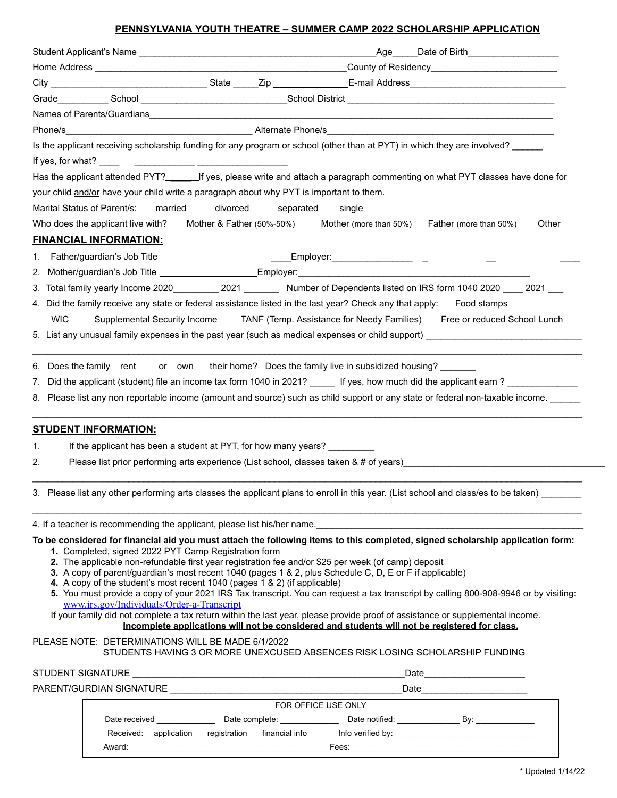## **PENNSYLVANIA YOUTH THEATRE – SUMMER CAMP 2022 SCHOLARSHIP APPLICATION**

|                                                                                                          | City ___________________________________State ______Zip _______________E-mail Address_________________________                                                                                                                 |  |  |  |
|----------------------------------------------------------------------------------------------------------|--------------------------------------------------------------------------------------------------------------------------------------------------------------------------------------------------------------------------------|--|--|--|
|                                                                                                          |                                                                                                                                                                                                                                |  |  |  |
|                                                                                                          | Names of Parents/Guardians                                                                                                                                                                                                     |  |  |  |
| Phone/s                                                                                                  | and the contract of the contract of Alternate Phone/s and the contract of the contract of the contract of the c                                                                                                                |  |  |  |
|                                                                                                          | Is the applicant receiving scholarship funding for any program or school (other than at PYT) in which they are involved?                                                                                                       |  |  |  |
|                                                                                                          |                                                                                                                                                                                                                                |  |  |  |
|                                                                                                          | Has the applicant attended PYT?________If yes, please write and attach a paragraph commenting on what PYT classes have done for                                                                                                |  |  |  |
| your child and/or have your child write a paragraph about why PYT is important to them.                  |                                                                                                                                                                                                                                |  |  |  |
| Marital Status of Parent/s:<br>married<br>divorced                                                       | separated<br>single                                                                                                                                                                                                            |  |  |  |
| Who does the applicant live with?<br>Mother & Father (50%-50%)                                           | Mother (more than 50%)<br>Other<br>Father (more than 50%)                                                                                                                                                                      |  |  |  |
| <b>FINANCIAL INFORMATION:</b>                                                                            |                                                                                                                                                                                                                                |  |  |  |
|                                                                                                          | 1. Father/guardian's Job Title _________________________Employer:___________________________________                                                                                                                           |  |  |  |
|                                                                                                          |                                                                                                                                                                                                                                |  |  |  |
|                                                                                                          | 3. Total family yearly Income 2020____________ 2021__________ Number of Dependents listed on IRS form 1040 2020 _____ 2021                                                                                                     |  |  |  |
| 4. Did the family receive any state or federal assistance listed in the last year? Check any that apply: | Food stamps                                                                                                                                                                                                                    |  |  |  |
| <b>WIC</b><br>Supplemental Security Income                                                               | TANF (Temp. Assistance for Needy Families) Free or reduced School Lunch                                                                                                                                                        |  |  |  |
|                                                                                                          | 5. List any unusual family expenses in the past year (such as medical expenses or child support) expension and the substitution of the state of the state of the state of the state of the state of the state of the state of  |  |  |  |
|                                                                                                          | 6. Does the family rent or own their home? Does the family live in subsidized housing?                                                                                                                                         |  |  |  |
|                                                                                                          | 7. Did the applicant (student) file an income tax form 1040 in 2021? Figures, how much did the applicant earn ?                                                                                                                |  |  |  |
|                                                                                                          | 8. Please list any non reportable income (amount and source) such as child support or any state or federal non-taxable income.                                                                                                 |  |  |  |
| <b>STUDENT INFORMATION:</b>                                                                              |                                                                                                                                                                                                                                |  |  |  |
| If the applicant has been a student at PYT, for how many years?<br>1.                                    |                                                                                                                                                                                                                                |  |  |  |
| 2.                                                                                                       | Please list prior performing arts experience (List school, classes taken & # of years)                                                                                                                                         |  |  |  |
|                                                                                                          |                                                                                                                                                                                                                                |  |  |  |
|                                                                                                          | 3. Please list any other performing arts classes the applicant plans to enroll in this year. (List school and class/es to be taken)                                                                                            |  |  |  |
| 4. If a teacher is recommending the applicant, please list his/her name.                                 |                                                                                                                                                                                                                                |  |  |  |
|                                                                                                          | To be considered for financial aid you must attach the following items to this completed, signed scholarship application form:                                                                                                 |  |  |  |
| 1. Completed, signed 2022 PYT Camp Registration form                                                     | 2. The applicable non-refundable first year registration fee and/or \$25 per week (of camp) deposit                                                                                                                            |  |  |  |
|                                                                                                          | 3. A copy of parent/guardian's most recent 1040 (pages 1 & 2, plus Schedule C, D, E or F if applicable)                                                                                                                        |  |  |  |
| 4. A copy of the student's most recent 1040 (pages 1 & 2) (if applicable)                                |                                                                                                                                                                                                                                |  |  |  |
| www.irs.gov/Individuals/Order-a-Transcript                                                               | 5. You must provide a copy of your 2021 IRS Tax transcript. You can request a tax transcript by calling 800-908-9946 or by visiting:                                                                                           |  |  |  |
|                                                                                                          | If your family did not complete a tax return within the last year, please provide proof of assistance or supplemental income.<br>Incomplete applications will not be considered and students will not be registered for class. |  |  |  |

## PLEASE NOTE: DETERMINATIONS WILL BE MADE 6/1/2022 STUDENTS HAVING 3 OR MORE UNEXCUSED ABSENCES RISK LOSING SCHOLARSHIP FUNDING

|                          | STUDENT SIGNATURE         |              | Date<br><u>and the state of the state of the state of the state of the state of the state of the state of the state of th</u>                                                                                                 |  |                                                                                                                                                                                                                                                                |  |
|--------------------------|---------------------------|--------------|-------------------------------------------------------------------------------------------------------------------------------------------------------------------------------------------------------------------------------|--|----------------------------------------------------------------------------------------------------------------------------------------------------------------------------------------------------------------------------------------------------------------|--|
| PARENT/GURDIAN SIGNATURE |                           |              | Date                                                                                                                                                                                                                          |  |                                                                                                                                                                                                                                                                |  |
|                          | FOR OFFICE USE ONLY       |              |                                                                                                                                                                                                                               |  |                                                                                                                                                                                                                                                                |  |
|                          | Date received <b>Date</b> |              | Date complete: and the complete of the complete of the complete of the complete of the control of the control of the control of the control of the control of the control of the control of the control of the control of the |  | Date notified: New York 1999<br>By: the contract of the contract of the contract of the contract of the contract of the contract of the contract of the contract of the contract of the contract of the contract of the contract of the contract of the contra |  |
|                          | Received: application     | registration | financial info                                                                                                                                                                                                                |  | Info verified by: The state of the state of the state of the state of the state of the state of the state of the state of the state of the state of the state of the state of the state of the state of the state of the state                                 |  |
|                          | Award:<br>Fees:           |              |                                                                                                                                                                                                                               |  |                                                                                                                                                                                                                                                                |  |